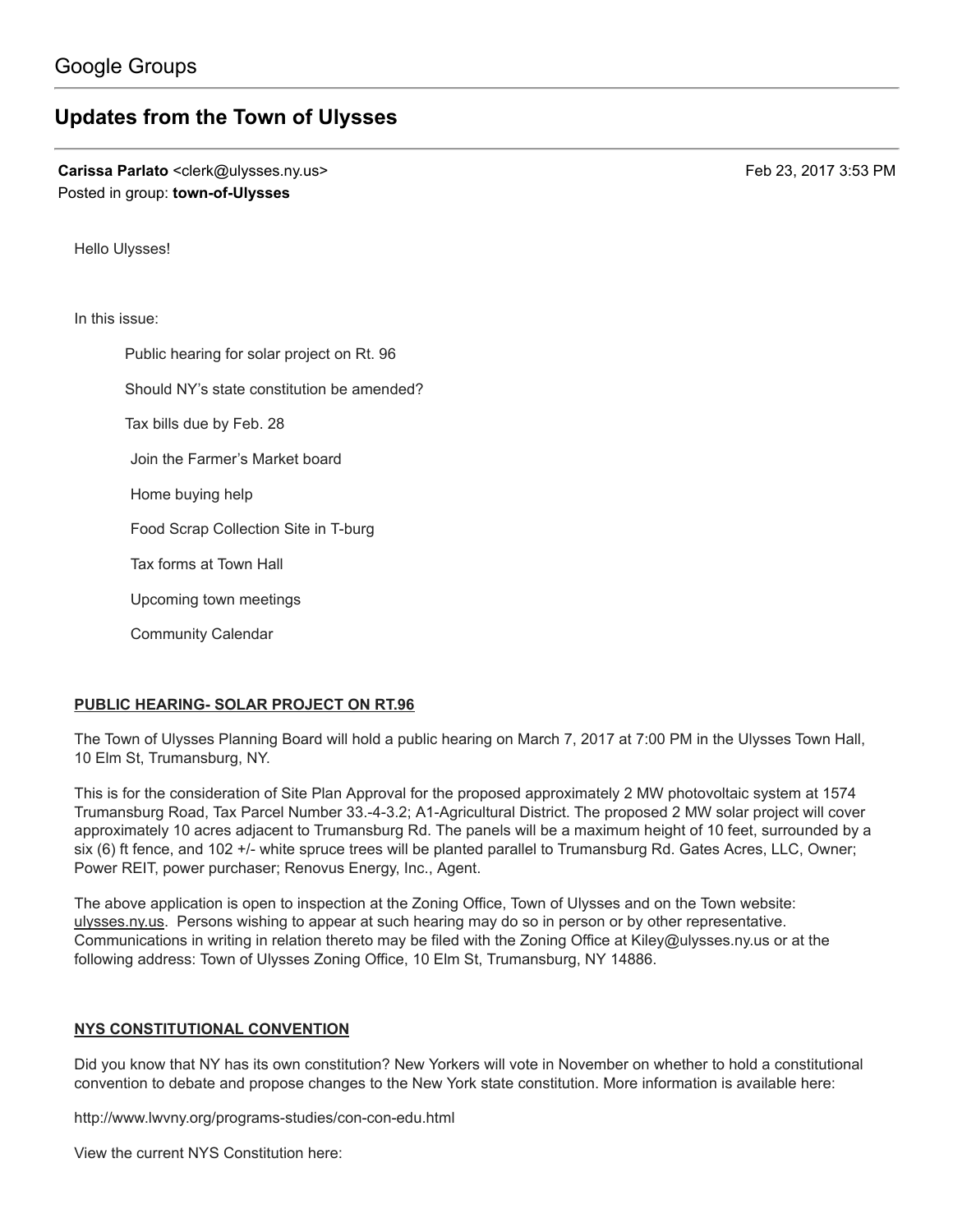# [Updates](https://groups.google.com/d/topic/town-of-ulysses/3BL-AvQKYEI) from the Town of Ulysses

Carissa Parlato <clerk@ulysses.ny.us> Feb 23, 2017 3:53 PM Posted in group: [town-of-Ulysses](https://groups.google.com/d/forum/town-of-ulysses)

Hello Ulysses!

In this issue:

Public hearing for solar project on Rt. 96 Should NY's state constitution be amended? Tax bills due by Feb. 28 Join the Farmer's Market board Home buying help Food Scrap Collection Site in T-burg Tax forms at Town Hall Upcoming town meetings Community Calendar

#### PUBLIC HEARING- SOLAR PROJECT ON RT.96

The Town of Ulysses Planning Board will hold a public hearing on March 7, 2017 at 7:00 PM in the Ulysses Town Hall, 10 Elm St, Trumansburg, NY.

This is for the consideration of Site Plan Approval for the proposed approximately 2 MW photovoltaic system at 1574 Trumansburg Road, Tax Parcel Number 33.-4-3.2; A1-Agricultural District. The proposed 2 MW solar project will cover approximately 10 acres adjacent to Trumansburg Rd. The panels will be a maximum height of 10 feet, surrounded by a six (6) ft fence, and 102 +/- white spruce trees will be planted parallel to Trumansburg Rd. Gates Acres, LLC, Owner; Power REIT, power purchaser; Renovus Energy, Inc., Agent.

The above application is open to inspection at the Zoning Office, Town of Ulysses and on the Town website: [ulysses.ny.us.](http://ulysses.ny.us/) Persons wishing to appear at such hearing may do so in person or by other representative. Communications in writing in relation thereto may be filed with the Zoning Office at [Kiley@ulysses.ny.us](mailto:Kiley@ulysses.ny.us) or at the following address: Town of Ulysses Zoning Office, 10 Elm St, Trumansburg, NY 14886.

#### NYS CONSTITUTIONAL CONVENTION

Did you know that NY has its own constitution? New Yorkers will vote in November on whether to hold a constitutional convention to debate and propose changes to the New York state constitution. More information is available here:

<http://www.lwvny.org/programs-studies/con-con-edu.html>

View the current NYS Constitution here: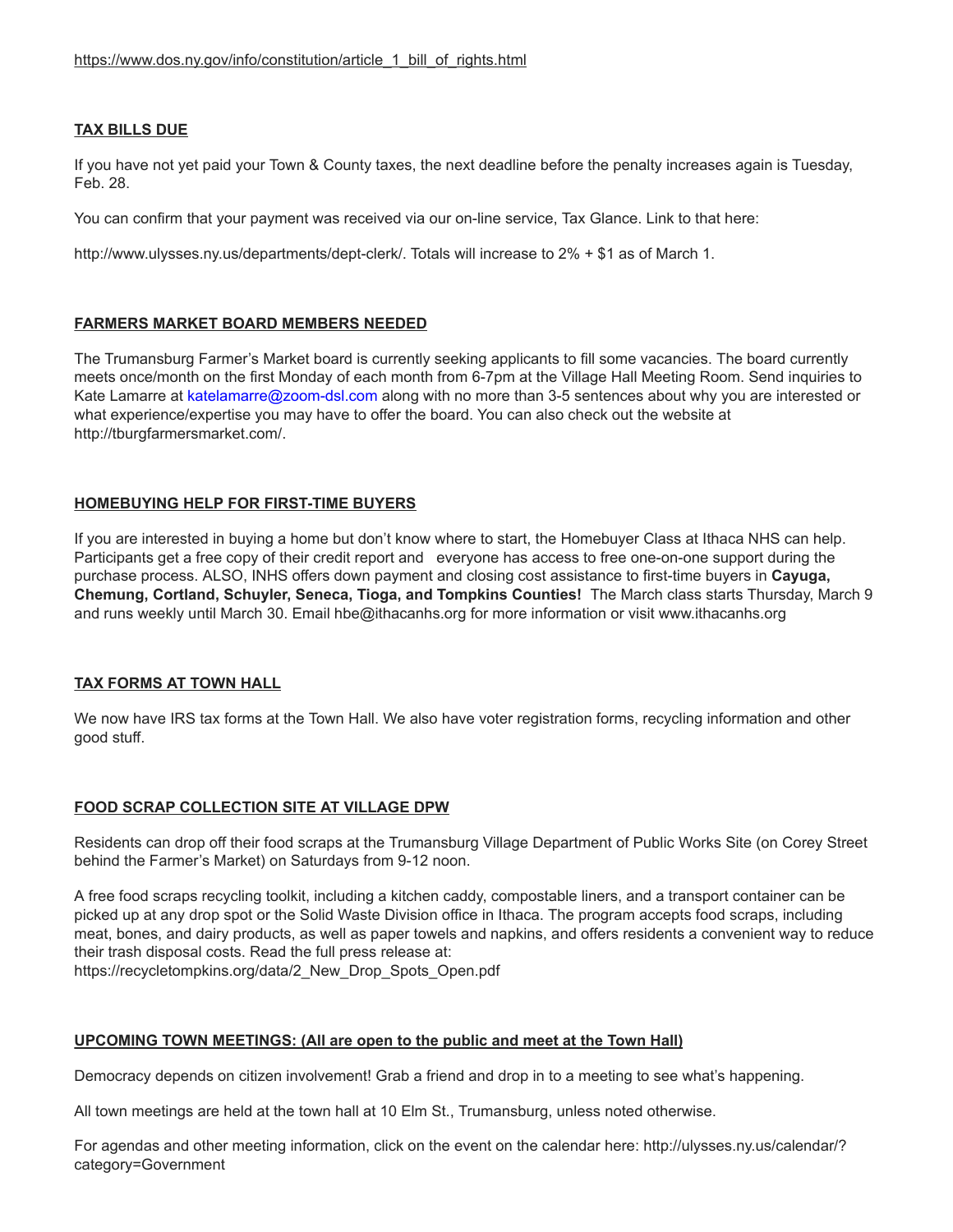### TAX BILLS DUE

If you have not yet paid your Town & County taxes, the next deadline before the penalty increases again is Tuesday, Feb. 28.

You can confirm that your payment was received via our on-line service, Tax Glance. Link to that here:

[http://www.ulysses.ny.us/departments/dept-clerk/.](http://www.ulysses.ny.us/departments/dept-clerk/) Totals will increase to 2% + \$1 as of March 1.

#### FARMERS MARKET BOARD MEMBERS NEEDED

The Trumansburg Farmer's Market board is currently seeking applicants to fill some vacancies. The board currently meets once/month on the first Monday of each month from 6-7pm at the Village Hall Meeting Room. Send inquiries to Kate Lamarre at [katelamarre@zoom-dsl.com](mailto:katelamarre@zoom-dsl.com) along with no more than 3-5 sentences about why you are interested or what experience/expertise you may have to offer the board. You can also check out the website at <http://tburgfarmersmarket.com/>.

#### HOMEBUYING HELP FOR FIRST-TIME BUYERS

If you are interested in buying a home but don't know where to start, the Homebuyer Class at Ithaca NHS can help. Participants get a free copy of their credit report and everyone has access to free one-on-one support during the purchase process. ALSO, INHS offers down payment and closing cost assistance to first-time buyers in Cayuga, Chemung, Cortland, Schuyler, Seneca, Tioga, and Tompkins Counties! The March class starts Thursday, March 9 and runs weekly until March 30. Email [hbe@ithacanhs.org](mailto:hbe@ithacanhs.org) for more information or visit [www.ithacanhs.org](http://www.ithacanhs.org/)

#### TAX FORMS AT TOWN HALL

We now have IRS tax forms at the Town Hall. We also have voter registration forms, recycling information and other good stuff.

#### FOOD SCRAP COLLECTION SITE AT VILLAGE DPW

Residents can drop off their food scraps at the Trumansburg Village Department of Public Works Site (on Corey Street behind the Farmer's Market) on Saturdays from 9-12 noon.

A free food scraps recycling toolkit, including a kitchen caddy, compostable liners, and a transport container can be picked up at any drop spot or the Solid Waste Division office in Ithaca. The program accepts food scraps, including meat, bones, and dairy products, as well as paper towels and napkins, and offers residents a convenient way to reduce their trash disposal costs. Read the full press release at: [https://recycletompkins.org/data/2\\_New\\_Drop\\_Spots\\_Open.pdf](https://recycletompkins.org/data/2_New_Drop_Spots_Open.pdf)

#### UPCOMING TOWN MEETINGS: (All are open to the public and meet at the Town Hall)

Democracy depends on citizen involvement! Grab a friend and drop in to a meeting to see what's happening.

All town meetings are held at the town hall at 10 Elm St., Trumansburg, unless noted otherwise.

For agendas and other meeting information, click on the event on the calendar here: [http://ulysses.ny.us/calendar/?](http://ulysses.ny.us/calendar/?category=Government) category=Government